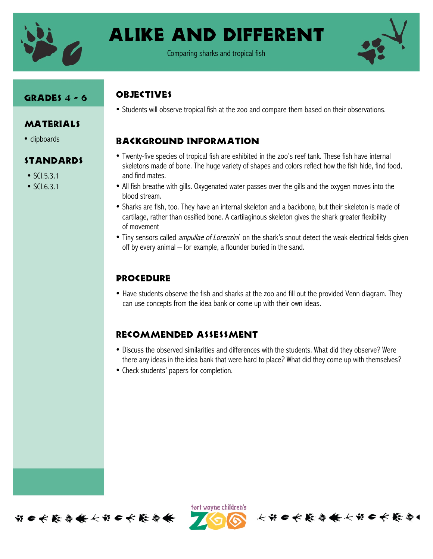

# Alike and Different

Comparing sharks and tropical fish



## GRADES 4 - 6

### MATERIALS

• clipboards

# Standards

- SCL5.3.1
- SCI.6.3.1

# **OBJECTIVES**

• Students will observe tropical fish at the zoo and compare them based on their observations.

# Background Information

- Twenty-five species of tropical fish are exhibited in the zoo's reef tank. These fish have internal skeletons made of bone. The huge variety of shapes and colors reflect how the fish hide, find food, and find mates.
- All fish breathe with gills. Oxygenated water passes over the gills and the oxygen moves into the blood stream.
- Sharks are fish, too. They have an internal skeleton and a backbone, but their skeleton is made of cartilage, rather than ossified bone. A cartilaginous skeleton gives the shark greater flexibility of movement
- Tiny sensors called *ampullae of Lorenzini* on the shark's snout detect the weak electrical fields given off by every animal – for example, a flounder buried in the sand.

# Procedure

• Have students observe the fish and sharks at the zoo and fill out the provided Venn diagram. They can use concepts from the idea bank or come up with their own ideas.

# Recommended assessment

- Discuss the observed similarities and differences with the students. What did they observe? Were there any ideas in the idea bank that were hard to place? What did they come up with themselves?
- Check students' papers for completion.



fort wayne children's

长节日长能与长长节日长能与